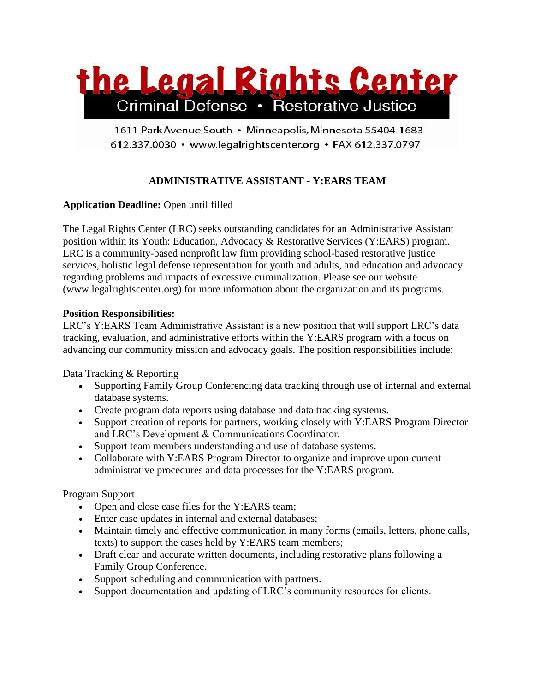

1611 Park Avenue South · Minneapolis, Minnesota 55404-1683 612.337.0030 · www.legalrightscenter.org · FAX 612.337.0797

# **ADMINISTRATIVE ASSISTANT - Y:EARS TEAM**

# **Application Deadline:** Open until filled

The Legal Rights Center (LRC) seeks outstanding candidates for an Administrative Assistant position within its Youth: Education, Advocacy & Restorative Services (Y:EARS) program. LRC is a community-based nonprofit law firm providing school-based restorative justice services, holistic legal defense representation for youth and adults, and education and advocacy regarding problems and impacts of excessive criminalization. Please see our website (www.legalrightscenter.org) for more information about the organization and its programs.

### **Position Responsibilities:**

LRC's Y:EARS Team Administrative Assistant is a new position that will support LRC's data tracking, evaluation, and administrative efforts within the Y:EARS program with a focus on advancing our community mission and advocacy goals. The position responsibilities include:

Data Tracking & Reporting

- Supporting Family Group Conferencing data tracking through use of internal and external database systems.
- Create program data reports using database and data tracking systems.
- Support creation of reports for partners, working closely with Y:EARS Program Director and LRC's Development & Communications Coordinator.
- Support team members understanding and use of database systems.
- Collaborate with Y:EARS Program Director to organize and improve upon current administrative procedures and data processes for the Y:EARS program.

# Program Support

- Open and close case files for the Y:EARS team;
- Enter case updates in internal and external databases;
- Maintain timely and effective communication in many forms (emails, letters, phone calls, texts) to support the cases held by Y:EARS team members;
- Draft clear and accurate written documents, including restorative plans following a Family Group Conference.
- Support scheduling and communication with partners.
- Support documentation and updating of LRC's community resources for clients.